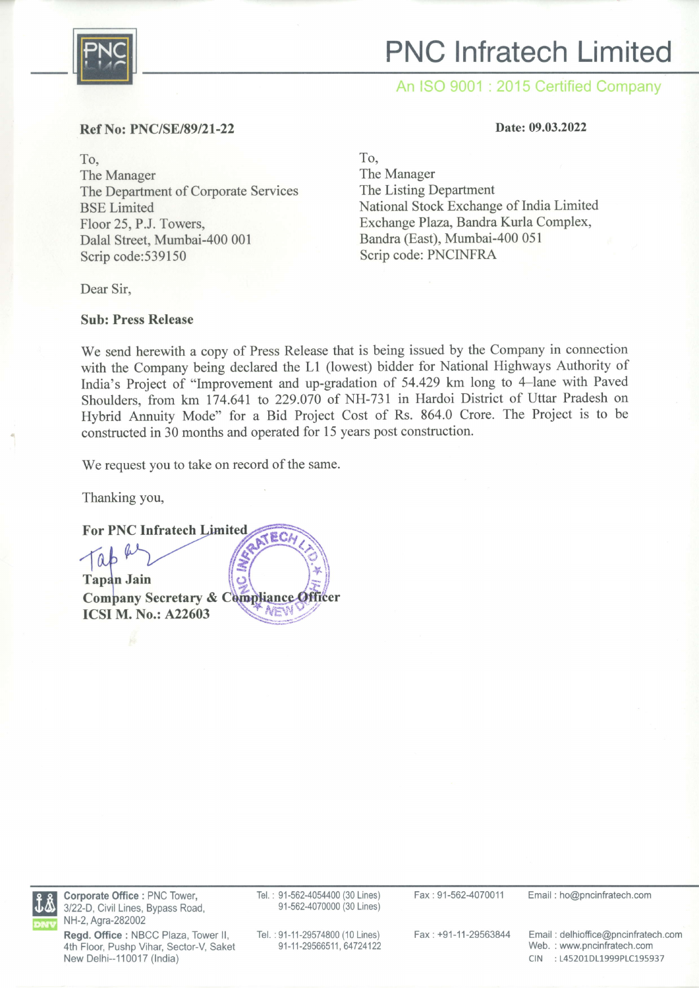

# PNC lnfratech Limited

An ISO 9001 : 2015 Certified Company

Date: 09.03.2022

#### Ref No: PNC/SE/89/21-22

To, The Manager The Department of Corporate Services BSE Limited Floor 25, P.J. Towers, Dalal Street, Mumbai-400 001 Scrip code:539150

Dear Sir,

#### Sub: Press Release

To,

The Manager The Listing Department National Stock Exchange of India Limited Exchange Plaza, Bandra Kurla Complex, Bandra (East), Mumbai-4O0 051 Scrip code: PNCINFRA

We send herewith a copy of Press Release that is being issued by the Company in connection with the Company being declared the Ll (lowest) bidder for National Highways Authority of India's Project of "Improvement and up-gradation of 54.429 km long to 4-lane with Paved Shoulders, from km 174.641 to 229.070 of NH-731 in Hardoi District of Uttar Pradesh on Hybrid Annuity Mode" for a Bid Project Cost of Rs. 864.0 Crore. The Project is to be constructed in 30 months and operated for 15 years post construction.

We request you to take on record of the same.

Thanking you,

For PNC Infratech  $\begin{bmatrix} a & b & b \\ \text{map} & \text{Join} \\ \text{map} & \text{Join} \end{bmatrix}$ Company Secretary & Compliance Officer AEV ICSI M. No.: A22603



Corporate Office : PNC Tower, 3122-D, Civil Lines, Bypass Road, NH-2, Agra-282002

Tel. : 91-562-4054400 (30 Lines) 91-562-4070000 (30 Lines)

Fax : 91-562-4070011 Email : ho@pncinfratech.com

Regd. Office : NBCC Plaza, Tower ll, 4th Floor, Pushp Vihar, Sector-V, Saket New Delhi--110017 (India)

Tel.: 91-11-29574800 (10 Lines) 91-11-29566511, 64724122

Fax:+91-11-29563844 Email : delhioffice@pncinfratech.com Web. : www.pncinfratech.com CIN :145201D11999P1C195937